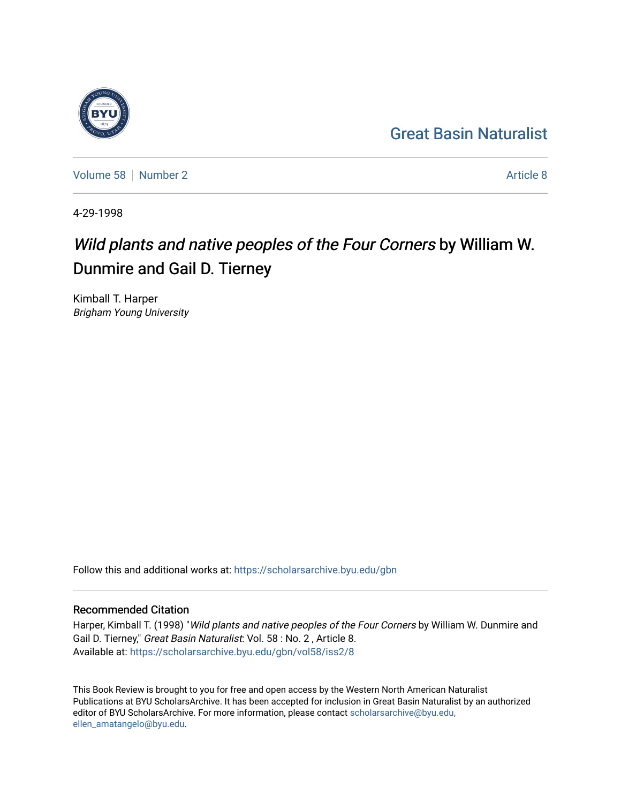## [Great Basin Naturalist](https://scholarsarchive.byu.edu/gbn)

[Volume 58](https://scholarsarchive.byu.edu/gbn/vol58) [Number 2](https://scholarsarchive.byu.edu/gbn/vol58/iss2) [Article 8](https://scholarsarchive.byu.edu/gbn/vol58/iss2/8) Article 8

4-29-1998

## Wild plants and native peoples of the Four Corners by William W. Dunmire and Gail D. Tierney

Kimball T. Harper Brigham Young University

Follow this and additional works at: [https://scholarsarchive.byu.edu/gbn](https://scholarsarchive.byu.edu/gbn?utm_source=scholarsarchive.byu.edu%2Fgbn%2Fvol58%2Fiss2%2F8&utm_medium=PDF&utm_campaign=PDFCoverPages) 

## Recommended Citation

Harper, Kimball T. (1998) "Wild plants and native peoples of the Four Corners by William W. Dunmire and Gail D. Tierney," Great Basin Naturalist: Vol. 58 : No. 2 , Article 8. Available at: [https://scholarsarchive.byu.edu/gbn/vol58/iss2/8](https://scholarsarchive.byu.edu/gbn/vol58/iss2/8?utm_source=scholarsarchive.byu.edu%2Fgbn%2Fvol58%2Fiss2%2F8&utm_medium=PDF&utm_campaign=PDFCoverPages)

This Book Review is brought to you for free and open access by the Western North American Naturalist Publications at BYU ScholarsArchive. It has been accepted for inclusion in Great Basin Naturalist by an authorized editor of BYU ScholarsArchive. For more information, please contact [scholarsarchive@byu.edu,](mailto:scholarsarchive@byu.edu,%20ellen_amatangelo@byu.edu) [ellen\\_amatangelo@byu.edu](mailto:scholarsarchive@byu.edu,%20ellen_amatangelo@byu.edu).